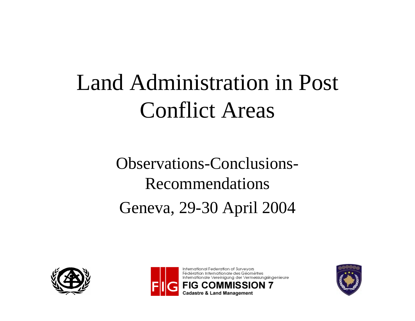# Land Administration in Post Conflict Areas

Observations-Conclusions-Recommendations Geneva, 29-30 April 2004





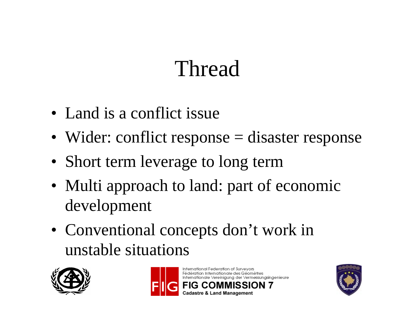## Thread

- Land is a conflict issue
- Wider: conflict response = disaster response
- Short term leverage to long term
- Multi approach to land: part of economic development
- Conventional concepts don't work in unstable situations





International Federation of Surveyors Fédération Internationale des Géomètres Internationale Vereinigung der Vermessungsingenieure adastre & Land Management

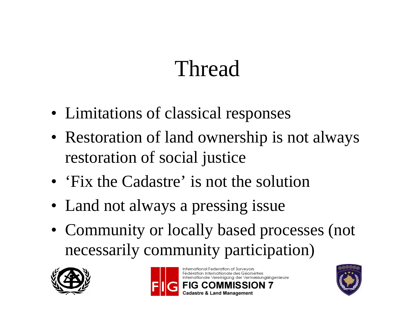# Thread

- Limitations of classical responses
- Restoration of land ownership is not always restoration of social justice
- Fix the Cadastre' is not the solution
- Land not always a pressing issue
- Community or locally based processes (not necessarily community participation)





International Federation of Surveyors Fédération Internationale des Géomètres Internationale Vereinigung der Vermessungsingenieure

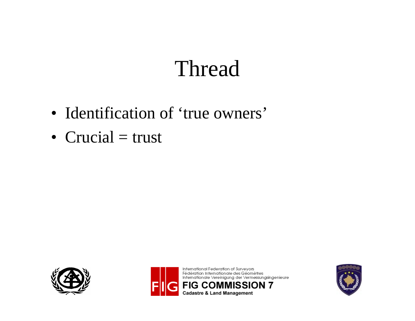## Thread

- Identification of 'true owners'
- Crucial  $=$  trust





International Federation of Surveyors Fédération Internationale des Géomètres Internationale Vereinigung der Vermessungsingenieure **FIG COMMISSION 7 Cadastre & Land Management** 

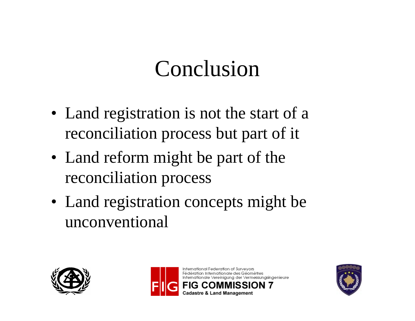## Conclusion

- Land registration is not the start of a reconciliation process but part of it
- Land reform might be part of the reconciliation process
- Land registration concepts might be unconventional





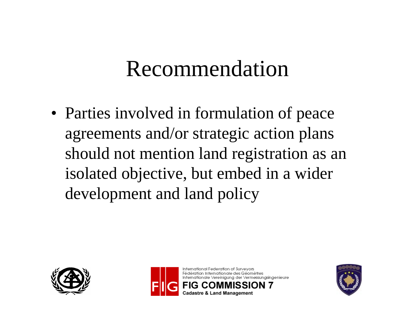#### Recommendation

• Parties involved in formulation of peace agreements and/or strategic action plans should not mention land registration as an isolated objective, but embed in a wider development and land policy





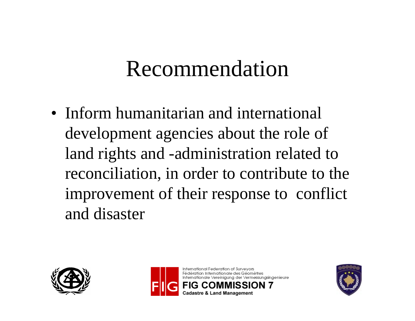#### Recommendation

• Inform humanitarian and international development agencies about the role of land rights and -administration related to reconciliation, in order to contribute to the improvement of their response to conflict and disaster





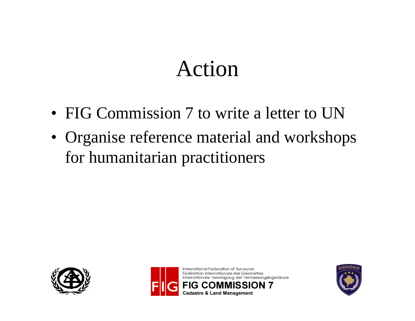### Action

- FIG Commission 7 to write a letter to UN
- Organise reference material and workshops for humanitarian practitioners





International Federation of Surveyors Fédération Internationale des Géomètres Internationale Vereinigung der Vermessungsingenieure **Cadastre & Land Management** 

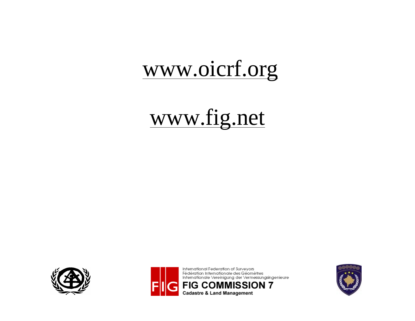#### [www.oicrf.org](http://www.oicrf.org)

### [www.fig.net](http://www.fig.net)